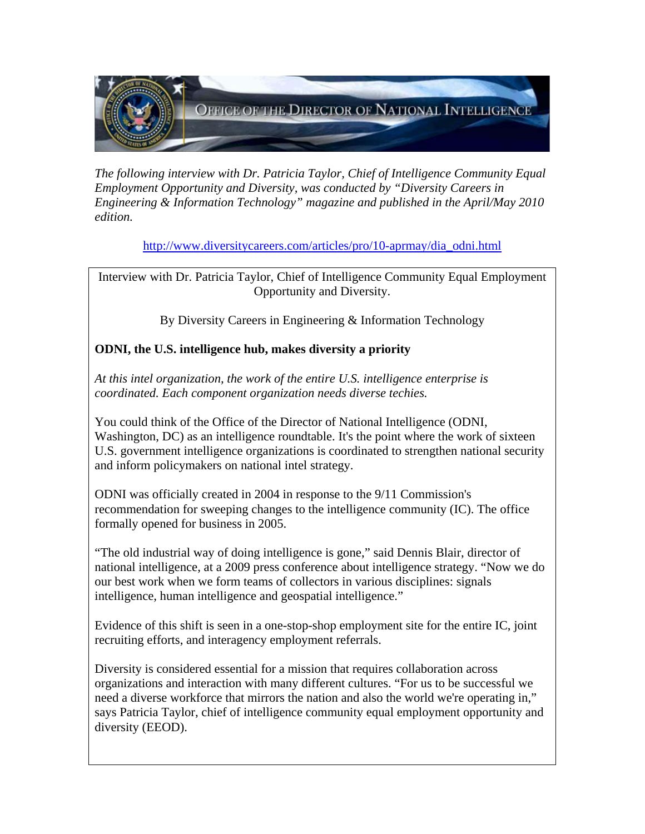

*The following interview with Dr. Patricia Taylor, Chief of Intelligence Community Equal Employment Opportunity and Diversity, was conducted by "Diversity Careers in Engineering & Information Technology" magazine and published in the April/May 2010 edition.* 

[http://www.diversitycareers.com/articles/pro/10-aprmay/dia\\_odni.html](http://www.diversitycareers.com/articles/pro/10-aprmay/dia_odni.html)

Interview with Dr. Patricia Taylor, Chief of Intelligence Community Equal Employment Opportunity and Diversity.

By Diversity Careers in Engineering & Information Technology

## **ODNI, the U.S. intelligence hub, makes diversity a priority**

*At this intel organization, the work of the entire U.S. intelligence enterprise is coordinated. Each component organization needs diverse techies.*

You could think of the Office of the Director of National Intelligence (ODNI, Washington, DC) as an intelligence roundtable. It's the point where the work of sixteen U.S. government intelligence organizations is coordinated to strengthen national security and inform policymakers on national intel strategy.

ODNI was officially created in 2004 in response to the 9/11 Commission's recommendation for sweeping changes to the intelligence community (IC). The office formally opened for business in 2005.

"The old industrial way of doing intelligence is gone," said Dennis Blair, director of national intelligence, at a 2009 press conference about intelligence strategy. "Now we do our best work when we form teams of collectors in various disciplines: signals intelligence, human intelligence and geospatial intelligence."

Evidence of this shift is seen in a one-stop-shop employment site for the entire IC, joint recruiting efforts, and interagency employment referrals.

Diversity is considered essential for a mission that requires collaboration across organizations and interaction with many different cultures. "For us to be successful we need a diverse workforce that mirrors the nation and also the world we're operating in," says Patricia Taylor, chief of intelligence community equal employment opportunity and diversity (EEOD).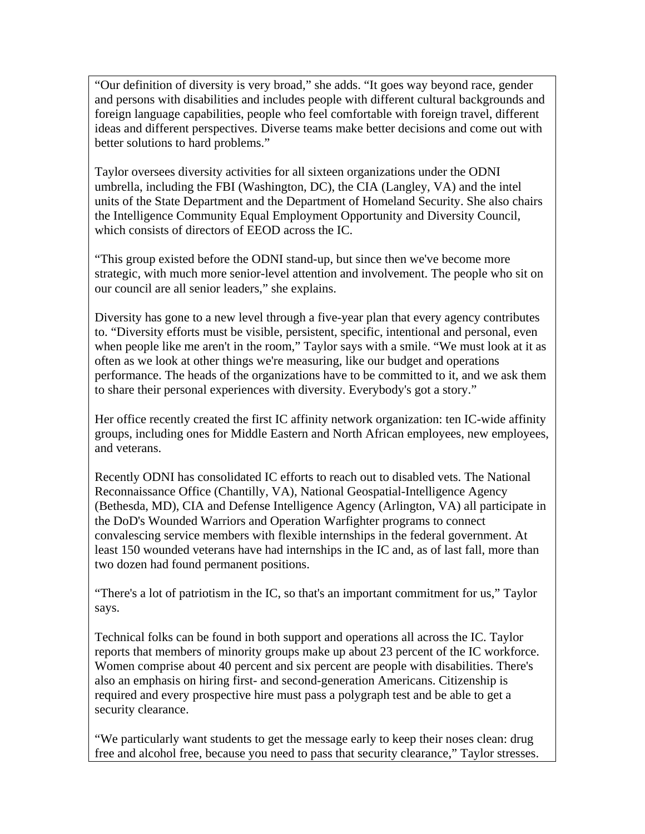"Our definition of diversity is very broad," she adds. "It goes way beyond race, gender and persons with disabilities and includes people with different cultural backgrounds and foreign language capabilities, people who feel comfortable with foreign travel, different ideas and different perspectives. Diverse teams make better decisions and come out with better solutions to hard problems."

Taylor oversees diversity activities for all sixteen organizations under the ODNI umbrella, including the FBI (Washington, DC), the CIA (Langley, VA) and the intel units of the State Department and the Department of Homeland Security. She also chairs the Intelligence Community Equal Employment Opportunity and Diversity Council, which consists of directors of EEOD across the IC.

"This group existed before the ODNI stand-up, but since then we've become more strategic, with much more senior-level attention and involvement. The people who sit on our council are all senior leaders," she explains.

Diversity has gone to a new level through a five-year plan that every agency contributes to. "Diversity efforts must be visible, persistent, specific, intentional and personal, even when people like me aren't in the room," Taylor says with a smile. "We must look at it as often as we look at other things we're measuring, like our budget and operations performance. The heads of the organizations have to be committed to it, and we ask them to share their personal experiences with diversity. Everybody's got a story."

Her office recently created the first IC affinity network organization: ten IC-wide affinity groups, including ones for Middle Eastern and North African employees, new employees, and veterans.

Recently ODNI has consolidated IC efforts to reach out to disabled vets. The National Reconnaissance Office (Chantilly, VA), National Geospatial-Intelligence Agency (Bethesda, MD), CIA and Defense Intelligence Agency (Arlington, VA) all participate in the DoD's Wounded Warriors and Operation Warfighter programs to connect convalescing service members with flexible internships in the federal government. At least 150 wounded veterans have had internships in the IC and, as of last fall, more than two dozen had found permanent positions.

"There's a lot of patriotism in the IC, so that's an important commitment for us," Taylor says.

Technical folks can be found in both support and operations all across the IC. Taylor reports that members of minority groups make up about 23 percent of the IC workforce. Women comprise about 40 percent and six percent are people with disabilities. There's also an emphasis on hiring first- and second-generation Americans. Citizenship is required and every prospective hire must pass a polygraph test and be able to get a security clearance.

"We particularly want students to get the message early to keep their noses clean: drug free and alcohol free, because you need to pass that security clearance," Taylor stresses.